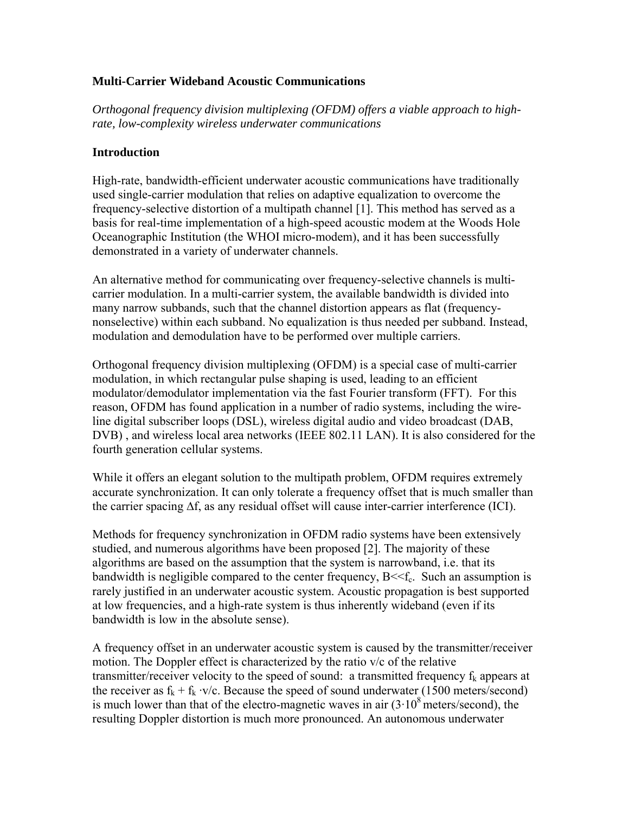### **Multi-Carrier Wideband Acoustic Communications**

*Orthogonal frequency division multiplexing (OFDM) offers a viable approach to highrate, low-complexity wireless underwater communications* 

#### **Introduction**

High-rate, bandwidth-efficient underwater acoustic communications have traditionally used single-carrier modulation that relies on adaptive equalization to overcome the frequency-selective distortion of a multipath channel [1]. This method has served as a basis for real-time implementation of a high-speed acoustic modem at the Woods Hole Oceanographic Institution (the WHOI micro-modem), and it has been successfully demonstrated in a variety of underwater channels.

An alternative method for communicating over frequency-selective channels is multicarrier modulation. In a multi-carrier system, the available bandwidth is divided into many narrow subbands, such that the channel distortion appears as flat (frequencynonselective) within each subband. No equalization is thus needed per subband. Instead, modulation and demodulation have to be performed over multiple carriers.

Orthogonal frequency division multiplexing (OFDM) is a special case of multi-carrier modulation, in which rectangular pulse shaping is used, leading to an efficient modulator/demodulator implementation via the fast Fourier transform (FFT). For this reason, OFDM has found application in a number of radio systems, including the wireline digital subscriber loops (DSL), wireless digital audio and video broadcast (DAB, DVB) , and wireless local area networks (IEEE 802.11 LAN). It is also considered for the fourth generation cellular systems.

While it offers an elegant solution to the multipath problem, OFDM requires extremely accurate synchronization. It can only tolerate a frequency offset that is much smaller than the carrier spacing ∆f, as any residual offset will cause inter-carrier interference (ICI).

Methods for frequency synchronization in OFDM radio systems have been extensively studied, and numerous algorithms have been proposed [2]. The majority of these algorithms are based on the assumption that the system is narrowband, i.e. that its bandwidth is negligible compared to the center frequency,  $B \ll f_c$ . Such an assumption is rarely justified in an underwater acoustic system. Acoustic propagation is best supported at low frequencies, and a high-rate system is thus inherently wideband (even if its bandwidth is low in the absolute sense).

A frequency offset in an underwater acoustic system is caused by the transmitter/receiver motion. The Doppler effect is characterized by the ratio v/c of the relative transmitter/receiver velocity to the speed of sound: a transmitted frequency  $f_k$  appears at the receiver as  $f_k + f_k \cdot v/c$ . Because the speed of sound underwater (1500 meters/second) is much lower than that of the electro-magnetic waves in air  $(3 \cdot 10^8 \text{ meters/second})$ , the resulting Doppler distortion is much more pronounced. An autonomous underwater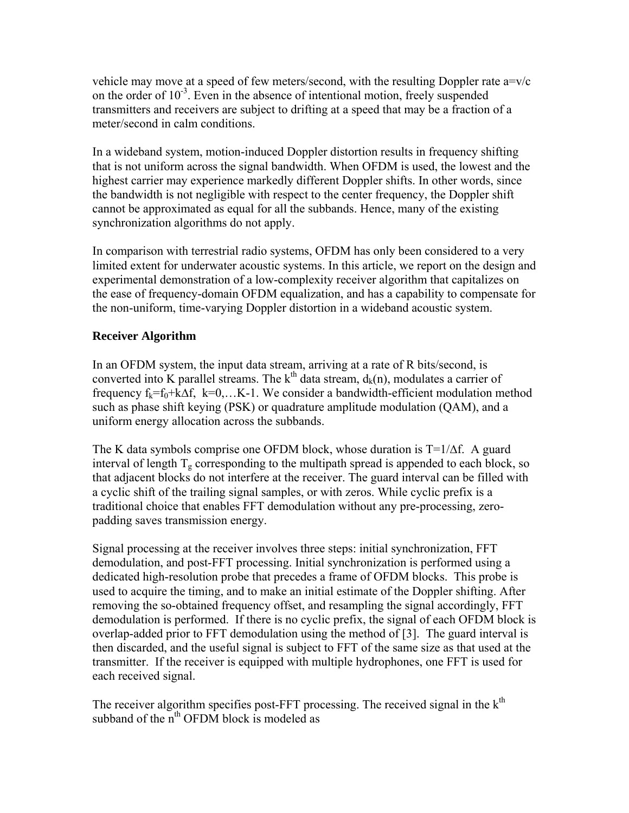vehicle may move at a speed of few meters/second, with the resulting Doppler rate a=v/c on the order of  $10^{-3}$ . Even in the absence of intentional motion, freely suspended transmitters and receivers are subject to drifting at a speed that may be a fraction of a meter/second in calm conditions.

In a wideband system, motion-induced Doppler distortion results in frequency shifting that is not uniform across the signal bandwidth. When OFDM is used, the lowest and the highest carrier may experience markedly different Doppler shifts. In other words, since the bandwidth is not negligible with respect to the center frequency, the Doppler shift cannot be approximated as equal for all the subbands. Hence, many of the existing synchronization algorithms do not apply.

In comparison with terrestrial radio systems, OFDM has only been considered to a very limited extent for underwater acoustic systems. In this article, we report on the design and experimental demonstration of a low-complexity receiver algorithm that capitalizes on the ease of frequency-domain OFDM equalization, and has a capability to compensate for the non-uniform, time-varying Doppler distortion in a wideband acoustic system.

# **Receiver Algorithm**

In an OFDM system, the input data stream, arriving at a rate of R bits/second, is converted into K parallel streams. The  $k<sup>th</sup>$  data stream,  $d_k(n)$ , modulates a carrier of frequency  $f_k = f_0 + k\Delta f$ ,  $k=0,...K-1$ . We consider a bandwidth-efficient modulation method such as phase shift keying (PSK) or quadrature amplitude modulation (QAM), and a uniform energy allocation across the subbands.

The K data symbols comprise one OFDM block, whose duration is  $T=1/\Delta f$ . A guard interval of length  $T<sub>g</sub>$  corresponding to the multipath spread is appended to each block, so that adjacent blocks do not interfere at the receiver. The guard interval can be filled with a cyclic shift of the trailing signal samples, or with zeros. While cyclic prefix is a traditional choice that enables FFT demodulation without any pre-processing, zeropadding saves transmission energy.

Signal processing at the receiver involves three steps: initial synchronization, FFT demodulation, and post-FFT processing. Initial synchronization is performed using a dedicated high-resolution probe that precedes a frame of OFDM blocks. This probe is used to acquire the timing, and to make an initial estimate of the Doppler shifting. After removing the so-obtained frequency offset, and resampling the signal accordingly, FFT demodulation is performed. If there is no cyclic prefix, the signal of each OFDM block is overlap-added prior to FFT demodulation using the method of [3]. The guard interval is then discarded, and the useful signal is subject to FFT of the same size as that used at the transmitter. If the receiver is equipped with multiple hydrophones, one FFT is used for each received signal.

The receiver algorithm specifies post-FFT processing. The received signal in the  $k<sup>th</sup>$ subband of the  $n<sup>th</sup>$  OFDM block is modeled as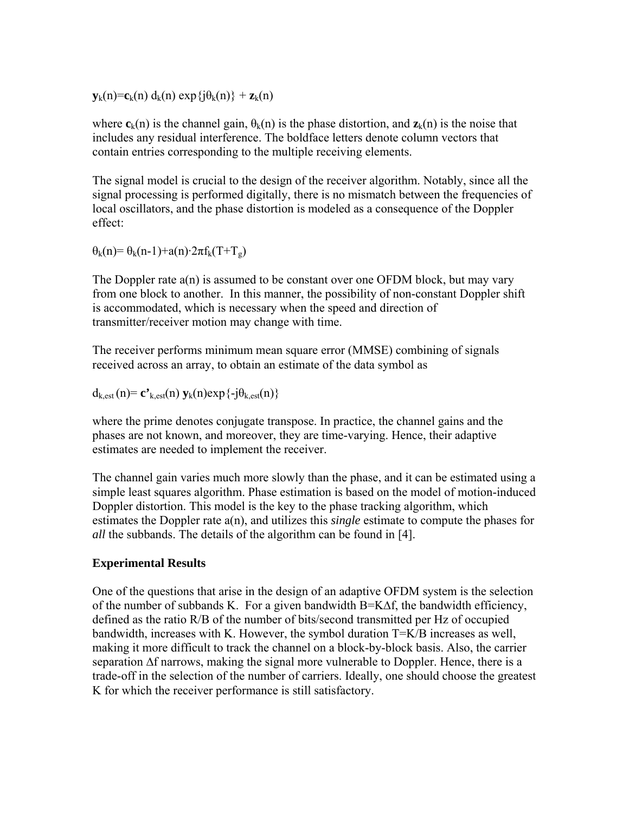$\mathbf{y}_k(n) = \mathbf{c}_k(n) d_k(n) \exp{\{i\theta_k(n)\}} + \mathbf{z}_k(n)$ 

where  $c_k(n)$  is the channel gain,  $\theta_k(n)$  is the phase distortion, and  $z_k(n)$  is the noise that includes any residual interference. The boldface letters denote column vectors that contain entries corresponding to the multiple receiving elements.

The signal model is crucial to the design of the receiver algorithm. Notably, since all the signal processing is performed digitally, there is no mismatch between the frequencies of local oscillators, and the phase distortion is modeled as a consequence of the Doppler effect:

 $\theta_k(n) = \theta_k(n-1) + a(n) \cdot 2\pi f_k(T+T_g)$ 

The Doppler rate a(n) is assumed to be constant over one OFDM block, but may vary from one block to another. In this manner, the possibility of non-constant Doppler shift is accommodated, which is necessary when the speed and direction of transmitter/receiver motion may change with time.

The receiver performs minimum mean square error (MMSE) combining of signals received across an array, to obtain an estimate of the data symbol as

 $d_{k,est}(n) = \mathbf{c'}_{k,est}(n) \mathbf{y}_k(n) \exp\{-j\theta_{k,est}(n)\}\$ 

where the prime denotes conjugate transpose. In practice, the channel gains and the phases are not known, and moreover, they are time-varying. Hence, their adaptive estimates are needed to implement the receiver.

The channel gain varies much more slowly than the phase, and it can be estimated using a simple least squares algorithm. Phase estimation is based on the model of motion-induced Doppler distortion. This model is the key to the phase tracking algorithm, which estimates the Doppler rate a(n), and utilizes this *single* estimate to compute the phases for *all* the subbands. The details of the algorithm can be found in [4].

## **Experimental Results**

One of the questions that arise in the design of an adaptive OFDM system is the selection of the number of subbands K. For a given bandwidth B=K∆f, the bandwidth efficiency, defined as the ratio R/B of the number of bits/second transmitted per Hz of occupied bandwidth, increases with K. However, the symbol duration T=K/B increases as well, making it more difficult to track the channel on a block-by-block basis. Also, the carrier separation ∆f narrows, making the signal more vulnerable to Doppler. Hence, there is a trade-off in the selection of the number of carriers. Ideally, one should choose the greatest K for which the receiver performance is still satisfactory.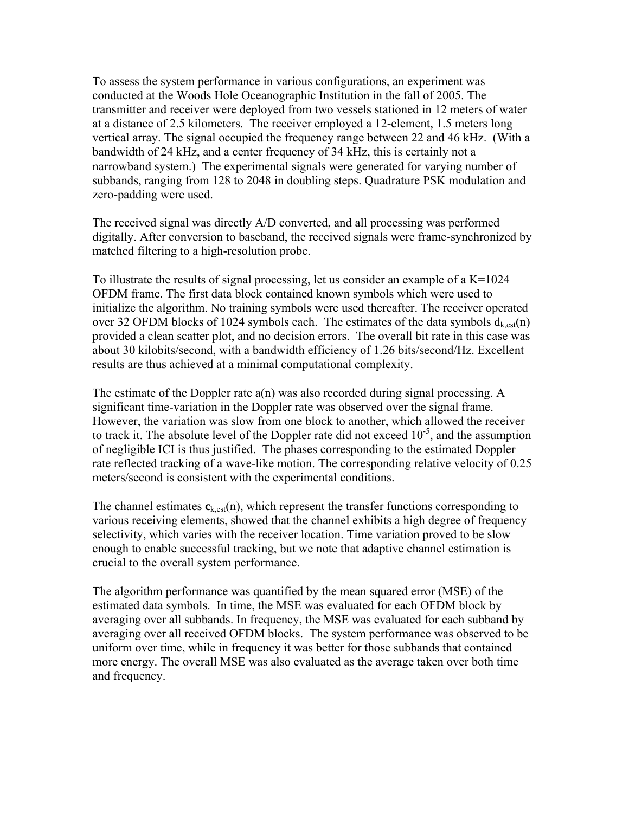To assess the system performance in various configurations, an experiment was conducted at the Woods Hole Oceanographic Institution in the fall of 2005. The transmitter and receiver were deployed from two vessels stationed in 12 meters of water at a distance of 2.5 kilometers. The receiver employed a 12-element, 1.5 meters long vertical array. The signal occupied the frequency range between 22 and 46 kHz. (With a bandwidth of 24 kHz, and a center frequency of 34 kHz, this is certainly not a narrowband system.) The experimental signals were generated for varying number of subbands, ranging from 128 to 2048 in doubling steps. Quadrature PSK modulation and zero-padding were used.

The received signal was directly A/D converted, and all processing was performed digitally. After conversion to baseband, the received signals were frame-synchronized by matched filtering to a high-resolution probe.

To illustrate the results of signal processing, let us consider an example of a K=1024 OFDM frame. The first data block contained known symbols which were used to initialize the algorithm. No training symbols were used thereafter. The receiver operated over 32 OFDM blocks of 1024 symbols each. The estimates of the data symbols  $d_{k,est}(n)$ provided a clean scatter plot, and no decision errors. The overall bit rate in this case was about 30 kilobits/second, with a bandwidth efficiency of 1.26 bits/second/Hz. Excellent results are thus achieved at a minimal computational complexity.

The estimate of the Doppler rate a(n) was also recorded during signal processing. A significant time-variation in the Doppler rate was observed over the signal frame. However, the variation was slow from one block to another, which allowed the receiver to track it. The absolute level of the Doppler rate did not exceed  $10^{-5}$ , and the assumption of negligible ICI is thus justified. The phases corresponding to the estimated Doppler rate reflected tracking of a wave-like motion. The corresponding relative velocity of 0.25 meters/second is consistent with the experimental conditions.

The channel estimates  $\mathbf{c}_{k,est}(n)$ , which represent the transfer functions corresponding to various receiving elements, showed that the channel exhibits a high degree of frequency selectivity, which varies with the receiver location. Time variation proved to be slow enough to enable successful tracking, but we note that adaptive channel estimation is crucial to the overall system performance.

The algorithm performance was quantified by the mean squared error (MSE) of the estimated data symbols. In time, the MSE was evaluated for each OFDM block by averaging over all subbands. In frequency, the MSE was evaluated for each subband by averaging over all received OFDM blocks. The system performance was observed to be uniform over time, while in frequency it was better for those subbands that contained more energy. The overall MSE was also evaluated as the average taken over both time and frequency.